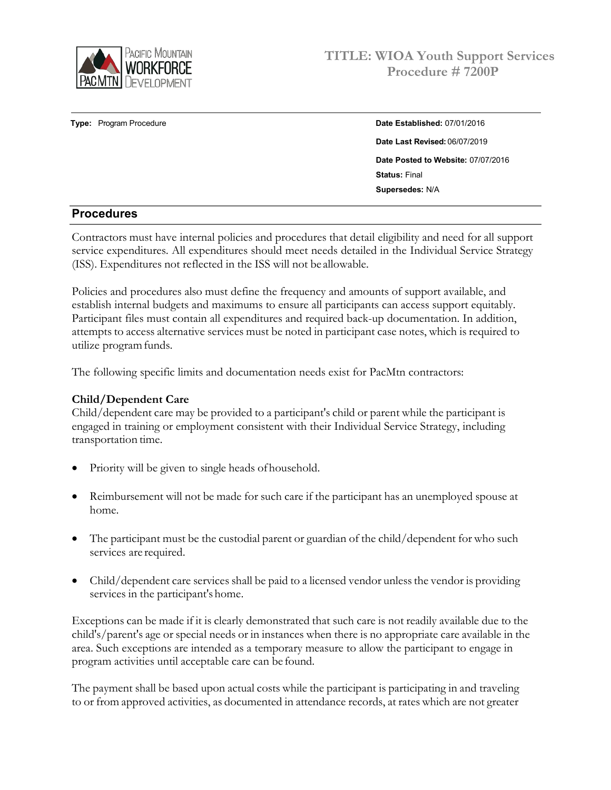

# **Type:** Program Procedure **Date Established:** 07/01/2016 **Date Last Revised:** 06/07/2019 **Date Posted to Website:** 07/07/2016 **Status:** Final

**Supersedes:** N/A

## **Procedures**

Contractors must have internal policies and procedures that detail eligibility and need for all support service expenditures. All expenditures should meet needs detailed in the Individual Service Strategy (ISS). Expenditures not reflected in the ISS will not be allowable.

Policies and procedures also must define the frequency and amounts of support available, and establish internal budgets and maximums to ensure all participants can access support equitably. Participant files must contain all expenditures and required back-up documentation. In addition, attempts to access alternative services must be noted in participant case notes, which is required to utilize program funds.

The following specific limits and documentation needs exist for PacMtn contractors:

#### **Child/Dependent Care**

Child/dependent care may be provided to a participant's child or parent while the participant is engaged in training or employment consistent with their Individual Service Strategy, including transportation time.

- Priority will be given to single heads of household.
- Reimbursement will not be made for such care if the participant has an unemployed spouse at home.
- The participant must be the custodial parent or guardian of the child/dependent for who such services are required.
- Child/dependent care services shall be paid to a licensed vendor unlessthe vendor is providing services in the participant's home.

Exceptions can be made if it is clearly demonstrated that such care is not readily available due to the child's/parent's age or special needs or in instances when there is no appropriate care available in the area. Such exceptions are intended as a temporary measure to allow the participant to engage in program activities until acceptable care can be found.

The payment shall be based upon actual costs while the participant is participating in and traveling to or from approved activities, as documented in attendance records, at rates which are not greater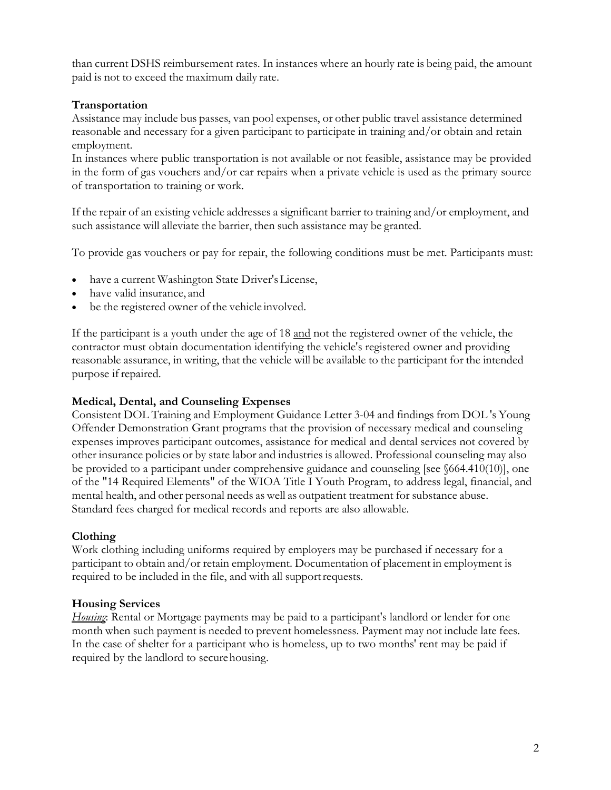than current DSHS reimbursement rates. In instances where an hourly rate is being paid, the amount paid is not to exceed the maximum daily rate.

## **Transportation**

Assistance may include bus passes, van pool expenses, or other public travel assistance determined reasonable and necessary for a given participant to participate in training and/or obtain and retain employment.

In instances where public transportation is not available or not feasible, assistance may be provided in the form of gas vouchers and/or car repairs when a private vehicle is used as the primary source of transportation to training or work.

If the repair of an existing vehicle addresses a significant barrier to training and/or employment, and such assistance will alleviate the barrier, then such assistance may be granted.

To provide gas vouchers or pay for repair, the following conditions must be met. Participants must:

- have a current Washington State Driver'sLicense,
- have valid insurance, and
- be the registered owner of the vehicle involved.

If the participant is a youth under the age of 18 and not the registered owner of the vehicle, the contractor must obtain documentation identifying the vehicle's registered owner and providing reasonable assurance, in writing, that the vehicle will be available to the participant for the intended purpose if repaired.

## **Medical, Dental, and Counseling Expenses**

Consistent DOL Training and Employment Guidance Letter 3-04 and findings from DOL 's Young Offender Demonstration Grant programs that the provision of necessary medical and counseling expenses improves participant outcomes, assistance for medical and dental services not covered by other insurance policies or by state labor and industries is allowed. Professional counseling may also be provided to a participant under comprehensive guidance and counseling [see §664.410(10)], one of the "14 Required Elements" of the WIOA Title I Youth Program, to address legal, financial, and mental health, and other personal needs as well as outpatient treatment for substance abuse. Standard fees charged for medical records and reports are also allowable.

# **Clothing**

Work clothing including uniforms required by employers may be purchased if necessary for a participant to obtain and/or retain employment. Documentation of placement in employment is required to be included in the file, and with all supportrequests.

# **Housing Services**

*Housing*: Rental or Mortgage payments may be paid to a participant's landlord or lender for one month when such payment is needed to prevent homelessness. Payment may not include late fees. In the case of shelter for a participant who is homeless, up to two months' rent may be paid if required by the landlord to securehousing.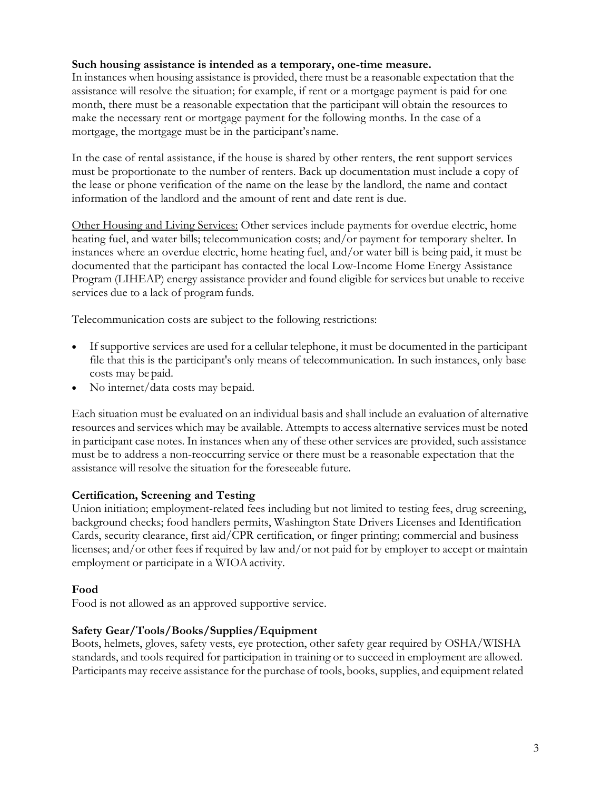#### **Such housing assistance is intended as a temporary, one-time measure.**

In instances when housing assistance is provided, there must be a reasonable expectation that the assistance will resolve the situation; for example, if rent or a mortgage payment is paid for one month, there must be a reasonable expectation that the participant will obtain the resources to make the necessary rent or mortgage payment for the following months. In the case of a mortgage, the mortgage must be in the participant'sname.

In the case of rental assistance, if the house is shared by other renters, the rent support services must be proportionate to the number of renters. Back up documentation must include a copy of the lease or phone verification of the name on the lease by the landlord, the name and contact information of the landlord and the amount of rent and date rent is due.

Other Housing and Living Services: Other services include payments for overdue electric, home heating fuel, and water bills; telecommunication costs; and/or payment for temporary shelter. In instances where an overdue electric, home heating fuel, and/or water bill is being paid, it must be documented that the participant has contacted the local Low-Income Home Energy Assistance Program (LIHEAP) energy assistance provider and found eligible for services but unable to receive services due to a lack of program funds.

Telecommunication costs are subject to the following restrictions:

- If supportive services are used for a cellular telephone, it must be documented in the participant file that this is the participant's only means of telecommunication. In such instances, only base costs may be paid.
- No internet/data costs may bepaid.

Each situation must be evaluated on an individual basis and shall include an evaluation of alternative resources and services which may be available. Attempts to access alternative services must be noted in participant case notes. In instances when any of these other services are provided, such assistance must be to address a non-reoccurring service or there must be a reasonable expectation that the assistance will resolve the situation for the foreseeable future.

## **Certification, Screening and Testing**

Union initiation; employment-related fees including but not limited to testing fees, drug screening, background checks; food handlers permits, Washington State Drivers Licenses and Identification Cards, security clearance, first aid/CPR certification, or finger printing; commercial and business licenses; and/or other fees if required by law and/or not paid for by employer to accept or maintain employment or participate in a WIOA activity.

#### **Food**

Food is not allowed as an approved supportive service.

## **Safety Gear/Tools/Books/Supplies/Equipment**

Boots, helmets, gloves, safety vests, eye protection, other safety gear required by OSHA/WISHA standards, and tools required for participation in training or to succeed in employment are allowed. Participants may receive assistance for the purchase of tools, books, supplies, and equipment related